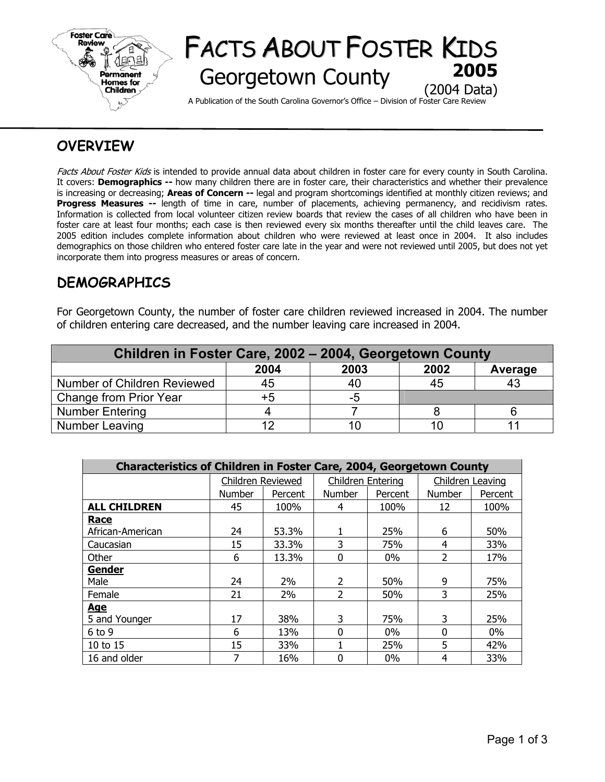

# FACTS ABOUT FOSTER KIDS **Georgetown County** (2004 Data)

A Publication of the South Carolina Governor's Office – Division of Foster Care Review

## **OVERVIEW**

Facts About Foster Kids is intended to provide annual data about children in foster care for every county in South Carolina. It covers: **Demographics --** how many children there are in foster care, their characteristics and whether their prevalence is increasing or decreasing; **Areas of Concern --** legal and program shortcomings identified at monthly citizen reviews; and **Progress Measures --** length of time in care, number of placements, achieving permanency, and recidivism rates. Information is collected from local volunteer citizen review boards that review the cases of all children who have been in foster care at least four months; each case is then reviewed every six months thereafter until the child leaves care. The 2005 edition includes complete information about children who were reviewed at least once in 2004. It also includes demographics on those children who entered foster care late in the year and were not reviewed until 2005, but does not yet incorporate them into progress measures or areas of concern.

## **DEMOGRAPHICS**

For Georgetown County, the number of foster care children reviewed increased in 2004. The number of children entering care decreased, and the number leaving care increased in 2004.

| Children in Foster Care, 2002 - 2004, Georgetown County |      |      |      |         |  |  |  |  |
|---------------------------------------------------------|------|------|------|---------|--|--|--|--|
|                                                         | 2004 | 2003 | 2002 | Average |  |  |  |  |
| Number of Children Reviewed                             | 45   | 40   | 45   | 43      |  |  |  |  |
| Change from Prior Year                                  | +5   | -5   |      |         |  |  |  |  |
| <b>Number Entering</b>                                  |      |      |      |         |  |  |  |  |
| Number Leaving                                          | ィク   |      |      |         |  |  |  |  |

| <b>Characteristics of Children in Foster Care, 2004, Georgetown County</b> |                   |         |                   |         |                  |         |  |  |  |
|----------------------------------------------------------------------------|-------------------|---------|-------------------|---------|------------------|---------|--|--|--|
|                                                                            | Children Reviewed |         | Children Entering |         | Children Leaving |         |  |  |  |
|                                                                            | <b>Number</b>     | Percent | <b>Number</b>     | Percent | <b>Number</b>    | Percent |  |  |  |
| <b>ALL CHILDREN</b>                                                        | 45                | 100%    | 4                 | 100%    | 12               | 100%    |  |  |  |
| Race                                                                       |                   |         |                   |         |                  |         |  |  |  |
| African-American                                                           | 24                | 53.3%   |                   | 25%     | 6                | 50%     |  |  |  |
| Caucasian                                                                  | 15                | 33.3%   | 3                 | 75%     | 4                | 33%     |  |  |  |
| Other                                                                      | 6                 | 13.3%   | 0                 | $0\%$   | $\overline{2}$   | 17%     |  |  |  |
| Gender                                                                     |                   |         |                   |         |                  |         |  |  |  |
| Male                                                                       | 24                | 2%      | $\overline{2}$    | 50%     | 9                | 75%     |  |  |  |
| Female                                                                     | 21                | 2%      | 2                 | 50%     | 3                | 25%     |  |  |  |
| <u>Age</u>                                                                 |                   |         |                   |         |                  |         |  |  |  |
| 5 and Younger                                                              | 17                | 38%     | 3                 | 75%     | 3                | 25%     |  |  |  |
| $6$ to $9$                                                                 | 6                 | 13%     | 0                 | $0\%$   | 0                | $0\%$   |  |  |  |
| 10 to 15                                                                   | 15                | 33%     |                   | 25%     | 5                | 42%     |  |  |  |
| 16 and older                                                               |                   | 16%     | 0                 | $0\%$   | 4                | 33%     |  |  |  |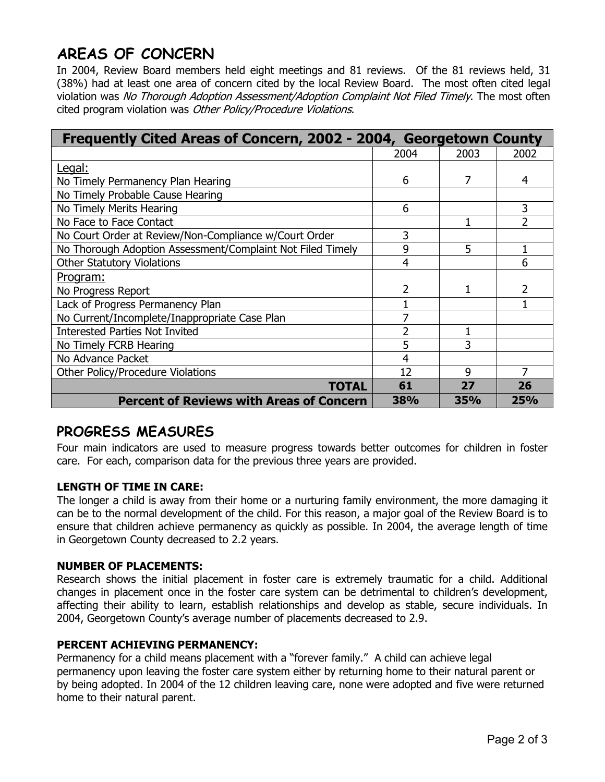# **AREAS OF CONCERN**

In 2004, Review Board members held eight meetings and 81 reviews. Of the 81 reviews held, 31 (38%) had at least one area of concern cited by the local Review Board. The most often cited legal violation was No Thorough Adoption Assessment/Adoption Complaint Not Filed Timely. The most often cited program violation was Other Policy/Procedure Violations.

| Frequently Cited Areas of Concern, 2002 - 2004, Georgetown County |                |            |                |  |
|-------------------------------------------------------------------|----------------|------------|----------------|--|
|                                                                   | 2004           | 2003       | 2002           |  |
| Legal:                                                            |                |            |                |  |
| No Timely Permanency Plan Hearing                                 | 6              |            | 4              |  |
| No Timely Probable Cause Hearing                                  |                |            |                |  |
| No Timely Merits Hearing                                          | 6              |            | 3              |  |
| No Face to Face Contact                                           |                |            | 2              |  |
| No Court Order at Review/Non-Compliance w/Court Order             | 3              |            |                |  |
| No Thorough Adoption Assessment/Complaint Not Filed Timely        | 9              | 5          |                |  |
| <b>Other Statutory Violations</b>                                 | 4              |            | 6              |  |
| <u>Program:</u>                                                   |                |            |                |  |
| No Progress Report                                                | $\overline{2}$ |            | $\overline{2}$ |  |
| Lack of Progress Permanency Plan                                  |                |            |                |  |
| No Current/Incomplete/Inappropriate Case Plan                     |                |            |                |  |
| <b>Interested Parties Not Invited</b>                             | 2              |            |                |  |
| No Timely FCRB Hearing                                            | 5              | 3          |                |  |
| No Advance Packet                                                 | 4              |            |                |  |
| Other Policy/Procedure Violations                                 | 12             | 9          | 7              |  |
| TOTAL                                                             | 61             | 27         | 26             |  |
| <b>Percent of Reviews with Areas of Concern</b>                   | 38%            | <b>35%</b> | <b>25%</b>     |  |

## **PROGRESS MEASURES**

Four main indicators are used to measure progress towards better outcomes for children in foster care. For each, comparison data for the previous three years are provided.

## **LENGTH OF TIME IN CARE:**

The longer a child is away from their home or a nurturing family environment, the more damaging it can be to the normal development of the child. For this reason, a major goal of the Review Board is to ensure that children achieve permanency as quickly as possible. In 2004, the average length of time in Georgetown County decreased to 2.2 years.

## **NUMBER OF PLACEMENTS:**

Research shows the initial placement in foster care is extremely traumatic for a child. Additional changes in placement once in the foster care system can be detrimental to children's development, affecting their ability to learn, establish relationships and develop as stable, secure individuals. In 2004, Georgetown County's average number of placements decreased to 2.9.

## **PERCENT ACHIEVING PERMANENCY:**

Permanency for a child means placement with a "forever family." A child can achieve legal permanency upon leaving the foster care system either by returning home to their natural parent or by being adopted. In 2004 of the 12 children leaving care, none were adopted and five were returned home to their natural parent.